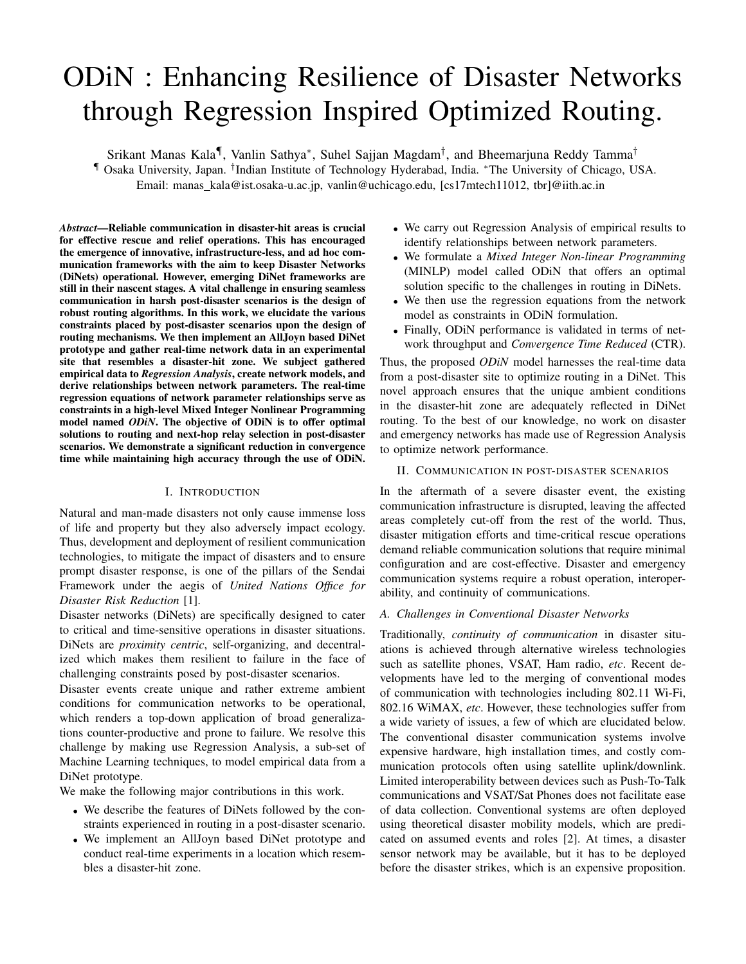# ODiN : Enhancing Resilience of Disaster Networks through Regression Inspired Optimized Routing.

Srikant Manas Kala¶, Vanlin Sathya\*, Suhel Sajjan Magdam<sup>†</sup>, and Bheemarjuna Reddy Tamma<sup>†</sup> ¶ Osaka University, Japan. † Indian Institute of Technology Hyderabad, India. <sup>∗</sup>The University of Chicago, USA. Email: manas\_kala@ist.osaka-u.ac.jp, vanlin@uchicago.edu, [cs17mtech11012, tbr]@iith.ac.in

*Abstract*—Reliable communication in disaster-hit areas is crucial for effective rescue and relief operations. This has encouraged the emergence of innovative, infrastructure-less, and ad hoc communication frameworks with the aim to keep Disaster Networks (DiNets) operational. However, emerging DiNet frameworks are still in their nascent stages. A vital challenge in ensuring seamless communication in harsh post-disaster scenarios is the design of robust routing algorithms. In this work, we elucidate the various constraints placed by post-disaster scenarios upon the design of routing mechanisms. We then implement an AllJoyn based DiNet prototype and gather real-time network data in an experimental site that resembles a disaster-hit zone. We subject gathered empirical data to *Regression Analysis*, create network models, and derive relationships between network parameters. The real-time regression equations of network parameter relationships serve as constraints in a high-level Mixed Integer Nonlinear Programming model named *ODiN*. The objective of ODiN is to offer optimal solutions to routing and next-hop relay selection in post-disaster scenarios. We demonstrate a significant reduction in convergence time while maintaining high accuracy through the use of ODiN.

### I. INTRODUCTION

Natural and man-made disasters not only cause immense loss of life and property but they also adversely impact ecology. Thus, development and deployment of resilient communication technologies, to mitigate the impact of disasters and to ensure prompt disaster response, is one of the pillars of the Sendai Framework under the aegis of *United Nations Office for Disaster Risk Reduction* [1].

Disaster networks (DiNets) are specifically designed to cater to critical and time-sensitive operations in disaster situations. DiNets are *proximity centric*, self-organizing, and decentralized which makes them resilient to failure in the face of challenging constraints posed by post-disaster scenarios.

Disaster events create unique and rather extreme ambient conditions for communication networks to be operational, which renders a top-down application of broad generalizations counter-productive and prone to failure. We resolve this challenge by making use Regression Analysis, a sub-set of Machine Learning techniques, to model empirical data from a DiNet prototype.

We make the following major contributions in this work.

- We describe the features of DiNets followed by the constraints experienced in routing in a post-disaster scenario.
- We implement an AllJoyn based DiNet prototype and conduct real-time experiments in a location which resembles a disaster-hit zone.
- We carry out Regression Analysis of empirical results to identify relationships between network parameters.
- We formulate a *Mixed Integer Non-linear Programming* (MINLP) model called ODiN that offers an optimal solution specific to the challenges in routing in DiNets.
- We then use the regression equations from the network model as constraints in ODiN formulation.
- Finally, ODiN performance is validated in terms of network throughput and *Convergence Time Reduced* (CTR).

Thus, the proposed *ODiN* model harnesses the real-time data from a post-disaster site to optimize routing in a DiNet. This novel approach ensures that the unique ambient conditions in the disaster-hit zone are adequately reflected in DiNet routing. To the best of our knowledge, no work on disaster and emergency networks has made use of Regression Analysis to optimize network performance.

## II. COMMUNICATION IN POST-DISASTER SCENARIOS

In the aftermath of a severe disaster event, the existing communication infrastructure is disrupted, leaving the affected areas completely cut-off from the rest of the world. Thus, disaster mitigation efforts and time-critical rescue operations demand reliable communication solutions that require minimal configuration and are cost-effective. Disaster and emergency communication systems require a robust operation, interoperability, and continuity of communications.

## *A. Challenges in Conventional Disaster Networks*

Traditionally, *continuity of communication* in disaster situations is achieved through alternative wireless technologies such as satellite phones, VSAT, Ham radio, *etc*. Recent developments have led to the merging of conventional modes of communication with technologies including 802.11 Wi-Fi, 802.16 WiMAX, *etc*. However, these technologies suffer from a wide variety of issues, a few of which are elucidated below. The conventional disaster communication systems involve expensive hardware, high installation times, and costly communication protocols often using satellite uplink/downlink. Limited interoperability between devices such as Push-To-Talk communications and VSAT/Sat Phones does not facilitate ease of data collection. Conventional systems are often deployed using theoretical disaster mobility models, which are predicated on assumed events and roles [2]. At times, a disaster sensor network may be available, but it has to be deployed before the disaster strikes, which is an expensive proposition.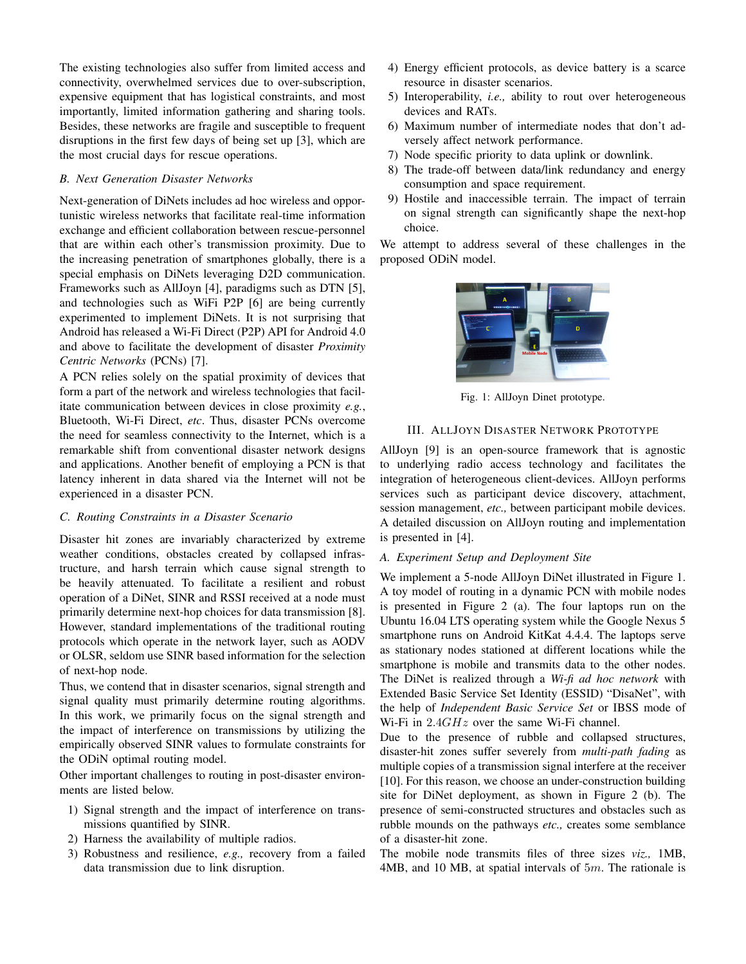The existing technologies also suffer from limited access and connectivity, overwhelmed services due to over-subscription, expensive equipment that has logistical constraints, and most importantly, limited information gathering and sharing tools. Besides, these networks are fragile and susceptible to frequent disruptions in the first few days of being set up [3], which are the most crucial days for rescue operations.

## *B. Next Generation Disaster Networks*

Next-generation of DiNets includes ad hoc wireless and opportunistic wireless networks that facilitate real-time information exchange and efficient collaboration between rescue-personnel that are within each other's transmission proximity. Due to the increasing penetration of smartphones globally, there is a special emphasis on DiNets leveraging D2D communication. Frameworks such as AllJoyn [4], paradigms such as DTN [5], and technologies such as WiFi P2P [6] are being currently experimented to implement DiNets. It is not surprising that Android has released a Wi-Fi Direct (P2P) API for Android 4.0 and above to facilitate the development of disaster *Proximity Centric Networks* (PCNs) [7].

A PCN relies solely on the spatial proximity of devices that form a part of the network and wireless technologies that facilitate communication between devices in close proximity *e.g.*, Bluetooth, Wi-Fi Direct, *etc*. Thus, disaster PCNs overcome the need for seamless connectivity to the Internet, which is a remarkable shift from conventional disaster network designs and applications. Another benefit of employing a PCN is that latency inherent in data shared via the Internet will not be experienced in a disaster PCN.

#### *C. Routing Constraints in a Disaster Scenario*

Disaster hit zones are invariably characterized by extreme weather conditions, obstacles created by collapsed infrastructure, and harsh terrain which cause signal strength to be heavily attenuated. To facilitate a resilient and robust operation of a DiNet, SINR and RSSI received at a node must primarily determine next-hop choices for data transmission [8]. However, standard implementations of the traditional routing protocols which operate in the network layer, such as AODV or OLSR, seldom use SINR based information for the selection of next-hop node.

Thus, we contend that in disaster scenarios, signal strength and signal quality must primarily determine routing algorithms. In this work, we primarily focus on the signal strength and the impact of interference on transmissions by utilizing the empirically observed SINR values to formulate constraints for the ODiN optimal routing model.

Other important challenges to routing in post-disaster environments are listed below.

- 1) Signal strength and the impact of interference on transmissions quantified by SINR.
- 2) Harness the availability of multiple radios.
- 3) Robustness and resilience, *e.g.,* recovery from a failed data transmission due to link disruption.
- 4) Energy efficient protocols, as device battery is a scarce resource in disaster scenarios.
- 5) Interoperability, *i.e.,* ability to rout over heterogeneous devices and RATs.
- 6) Maximum number of intermediate nodes that don't adversely affect network performance.
- 7) Node specific priority to data uplink or downlink.
- 8) The trade-off between data/link redundancy and energy consumption and space requirement.
- 9) Hostile and inaccessible terrain. The impact of terrain on signal strength can significantly shape the next-hop choice.

We attempt to address several of these challenges in the proposed ODiN model.



Fig. 1: AllJoyn Dinet prototype.

## III. ALLJOYN DISASTER NETWORK PROTOTYPE

AllJoyn [9] is an open-source framework that is agnostic to underlying radio access technology and facilitates the integration of heterogeneous client-devices. AllJoyn performs services such as participant device discovery, attachment, session management, *etc.,* between participant mobile devices. A detailed discussion on AllJoyn routing and implementation is presented in [4].

#### *A. Experiment Setup and Deployment Site*

We implement a 5-node AllJoyn DiNet illustrated in Figure 1. A toy model of routing in a dynamic PCN with mobile nodes is presented in Figure 2 (a). The four laptops run on the Ubuntu 16.04 LTS operating system while the Google Nexus 5 smartphone runs on Android KitKat 4.4.4. The laptops serve as stationary nodes stationed at different locations while the smartphone is mobile and transmits data to the other nodes. The DiNet is realized through a *Wi-fi ad hoc network* with Extended Basic Service Set Identity (ESSID) "DisaNet", with the help of *Independent Basic Service Set* or IBSS mode of Wi-Fi in  $2.4GHz$  over the same Wi-Fi channel.

Due to the presence of rubble and collapsed structures, disaster-hit zones suffer severely from *multi-path fading* as multiple copies of a transmission signal interfere at the receiver [10]. For this reason, we choose an under-construction building site for DiNet deployment, as shown in Figure 2 (b). The presence of semi-constructed structures and obstacles such as rubble mounds on the pathways *etc.,* creates some semblance of a disaster-hit zone.

The mobile node transmits files of three sizes *viz.,* 1MB, 4MB, and 10 MB, at spatial intervals of  $5m$ . The rationale is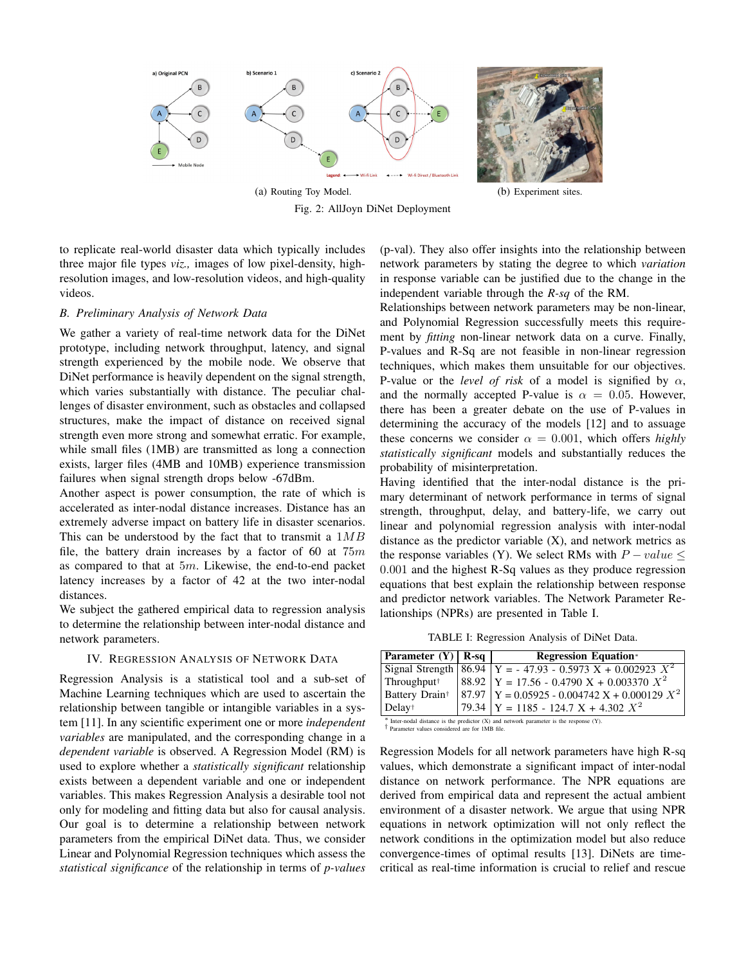

(a) Routing Toy Model. (b) Experiment sites. Fig. 2: AllJoyn DiNet Deployment

to replicate real-world disaster data which typically includes three major file types *viz.,* images of low pixel-density, highresolution images, and low-resolution videos, and high-quality videos.

## *B. Preliminary Analysis of Network Data*

We gather a variety of real-time network data for the DiNet prototype, including network throughput, latency, and signal strength experienced by the mobile node. We observe that DiNet performance is heavily dependent on the signal strength, which varies substantially with distance. The peculiar challenges of disaster environment, such as obstacles and collapsed structures, make the impact of distance on received signal strength even more strong and somewhat erratic. For example, while small files (1MB) are transmitted as long a connection exists, larger files (4MB and 10MB) experience transmission failures when signal strength drops below -67dBm.

Another aspect is power consumption, the rate of which is accelerated as inter-nodal distance increases. Distance has an extremely adverse impact on battery life in disaster scenarios. This can be understood by the fact that to transmit a  $1MB$ file, the battery drain increases by a factor of 60 at  $75m$ as compared to that at  $5m$ . Likewise, the end-to-end packet latency increases by a factor of 42 at the two inter-nodal distances.

We subject the gathered empirical data to regression analysis to determine the relationship between inter-nodal distance and network parameters.

### IV. REGRESSION ANALYSIS OF NETWORK DATA

Regression Analysis is a statistical tool and a sub-set of Machine Learning techniques which are used to ascertain the relationship between tangible or intangible variables in a system [11]. In any scientific experiment one or more *independent variables* are manipulated, and the corresponding change in a *dependent variable* is observed. A Regression Model (RM) is used to explore whether a *statistically significant* relationship exists between a dependent variable and one or independent variables. This makes Regression Analysis a desirable tool not only for modeling and fitting data but also for causal analysis. Our goal is to determine a relationship between network parameters from the empirical DiNet data. Thus, we consider Linear and Polynomial Regression techniques which assess the *statistical significance* of the relationship in terms of *p-values*

(p-val). They also offer insights into the relationship between network parameters by stating the degree to which *variation* in response variable can be justified due to the change in the independent variable through the *R-sq* of the RM.

Relationships between network parameters may be non-linear, and Polynomial Regression successfully meets this requirement by *fitting* non-linear network data on a curve. Finally, P-values and R-Sq are not feasible in non-linear regression techniques, which makes them unsuitable for our objectives. P-value or the *level of risk* of a model is signified by  $\alpha$ , and the normally accepted P-value is  $\alpha = 0.05$ . However, there has been a greater debate on the use of P-values in determining the accuracy of the models [12] and to assuage these concerns we consider  $\alpha = 0.001$ , which offers *highly statistically significant* models and substantially reduces the probability of misinterpretation.

Having identified that the inter-nodal distance is the primary determinant of network performance in terms of signal strength, throughput, delay, and battery-life, we carry out linear and polynomial regression analysis with inter-nodal distance as the predictor variable  $(X)$ , and network metrics as the response variables (Y). We select RMs with  $P-value \leq$ 0.001 and the highest R-Sq values as they produce regression equations that best explain the relationship between response and predictor network variables. The Network Parameter Relationships (NPRs) are presented in Table I.

TABLE I: Regression Analysis of DiNet Data.

| Parameter $(Y)$ R-sq                                                                          |  | <b>Regression Equation*</b>                                     |
|-----------------------------------------------------------------------------------------------|--|-----------------------------------------------------------------|
|                                                                                               |  | Signal Strength $86.94$ Y = - 47.93 - 0.5973 X + 0.002923 $X^2$ |
| Throughput <sup>†</sup>                                                                       |  | $ 88.92 $ Y = 17.56 - 0.4790 X + 0.003370 $X^2$                 |
| Battery Drain <sup>†</sup>                                                                    |  | $ 87.97 \rangle$ Y = 0.05925 - 0.004742 X + 0.000129 $X^2$      |
| Delay <sup>†</sup>                                                                            |  | 79.34 $Y = 1185 - 124.7 X + 4.302 X^2$                          |
| $*$ Inter-nodal distance is the predictor $(X)$ and network parameter is the response $(Y)$ . |  |                                                                 |

† Parameter values considered are for 1MB file.

Regression Models for all network parameters have high R-sq values, which demonstrate a significant impact of inter-nodal distance on network performance. The NPR equations are derived from empirical data and represent the actual ambient environment of a disaster network. We argue that using NPR equations in network optimization will not only reflect the network conditions in the optimization model but also reduce convergence-times of optimal results [13]. DiNets are timecritical as real-time information is crucial to relief and rescue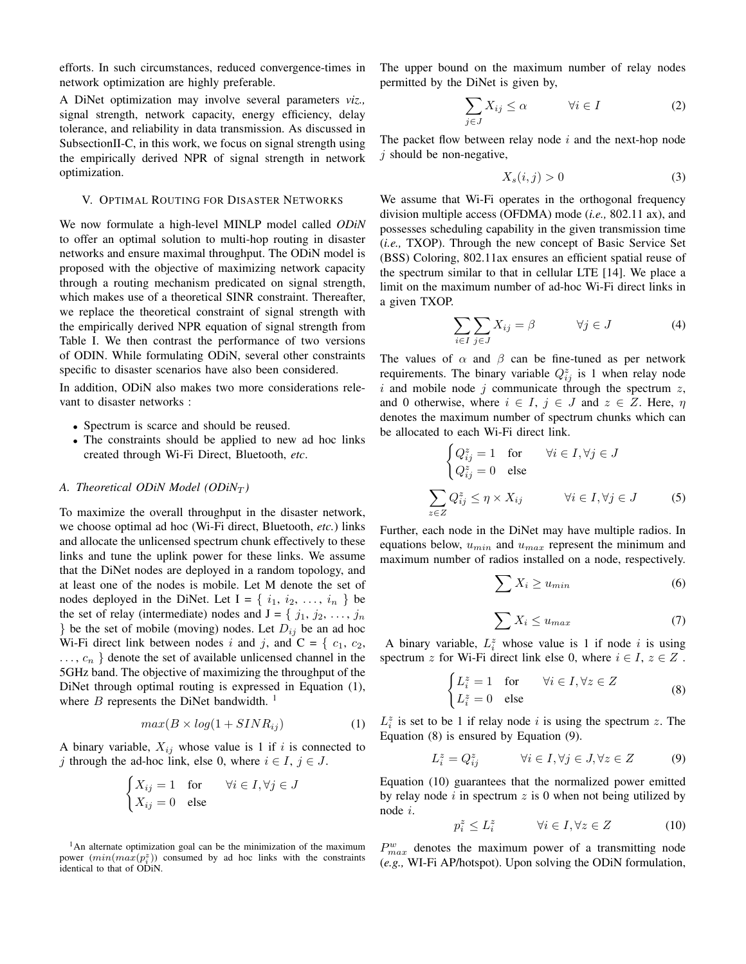efforts. In such circumstances, reduced convergence-times in network optimization are highly preferable.

A DiNet optimization may involve several parameters *viz.,* signal strength, network capacity, energy efficiency, delay tolerance, and reliability in data transmission. As discussed in SubsectionII-C, in this work, we focus on signal strength using the empirically derived NPR of signal strength in network optimization.

#### V. OPTIMAL ROUTING FOR DISASTER NETWORKS

We now formulate a high-level MINLP model called *ODiN* to offer an optimal solution to multi-hop routing in disaster networks and ensure maximal throughput. The ODiN model is proposed with the objective of maximizing network capacity through a routing mechanism predicated on signal strength, which makes use of a theoretical SINR constraint. Thereafter, we replace the theoretical constraint of signal strength with the empirically derived NPR equation of signal strength from Table I. We then contrast the performance of two versions of ODIN. While formulating ODiN, several other constraints specific to disaster scenarios have also been considered.

In addition, ODiN also makes two more considerations relevant to disaster networks :

- Spectrum is scarce and should be reused.
- The constraints should be applied to new ad hoc links created through Wi-Fi Direct, Bluetooth, *etc*.

#### *A. Theoretical ODiN Model (ODiN<sub>T</sub>)*

To maximize the overall throughput in the disaster network, we choose optimal ad hoc (Wi-Fi direct, Bluetooth, *etc.*) links and allocate the unlicensed spectrum chunk effectively to these links and tune the uplink power for these links. We assume that the DiNet nodes are deployed in a random topology, and at least one of the nodes is mobile. Let M denote the set of nodes deployed in the DiNet. Let  $I = \{i_1, i_2, \ldots, i_n\}$  be the set of relay (intermediate) nodes and  $J = \{j_1, j_2, \ldots, j_n\}$ } be the set of mobile (moving) nodes. Let  $D_{ij}$  be an ad hoc Wi-Fi direct link between nodes i and j, and C = {  $c_1$ ,  $c_2$ ,  $\ldots, c_n$  } denote the set of available unlicensed channel in the 5GHz band. The objective of maximizing the throughput of the DiNet through optimal routing is expressed in Equation (1), where  $B$  represents the DiNet bandwidth.<sup>1</sup>

$$
max(B \times log(1 + SINR_{ij}) \tag{1}
$$

A binary variable,  $X_{ij}$  whose value is 1 if i is connected to j through the ad-hoc link, else 0, where  $i \in I$ ,  $j \in J$ .

$$
\begin{cases} X_{ij} = 1 & \text{for} \\ X_{ij} = 0 & \text{else} \end{cases} \quad \forall i \in I, \forall j \in J
$$

 $<sup>1</sup>$ An alternate optimization goal can be the minimization of the maximum</sup> power  $(min(max(p_i^z))$  consumed by ad hoc links with the constraints identical to that of ODiN.

The upper bound on the maximum number of relay nodes permitted by the DiNet is given by,

$$
\sum_{j \in J} X_{ij} \le \alpha \qquad \forall i \in I \tag{2}
$$

The packet flow between relay node  $i$  and the next-hop node  $j$  should be non-negative,

$$
X_s(i,j) > 0 \tag{3}
$$

We assume that Wi-Fi operates in the orthogonal frequency division multiple access (OFDMA) mode (*i.e.,* 802.11 ax), and possesses scheduling capability in the given transmission time (*i.e.,* TXOP). Through the new concept of Basic Service Set (BSS) Coloring, 802.11ax ensures an efficient spatial reuse of the spectrum similar to that in cellular LTE [14]. We place a limit on the maximum number of ad-hoc Wi-Fi direct links in a given TXOP.

$$
\sum_{i \in I} \sum_{j \in J} X_{ij} = \beta \qquad \forall j \in J \tag{4}
$$

The values of  $\alpha$  and  $\beta$  can be fine-tuned as per network requirements. The binary variable  $Q_{ij}^z$  is 1 when relay node  $i$  and mobile node  $j$  communicate through the spectrum  $z$ , and 0 otherwise, where  $i \in I$ ,  $j \in J$  and  $z \in Z$ . Here,  $\eta$ denotes the maximum number of spectrum chunks which can be allocated to each Wi-Fi direct link.

$$
\begin{cases} Q_{ij}^{z} = 1 & \text{for } \quad \forall i \in I, \forall j \in J \\ Q_{ij}^{z} = 0 & \text{else} \end{cases}
$$
  

$$
\sum_{z \in Z} Q_{ij}^{z} \le \eta \times X_{ij} \qquad \forall i \in I, \forall j \in J
$$
 (5)

Further, each node in the DiNet may have multiple radios. In equations below,  $u_{min}$  and  $u_{max}$  represent the minimum and maximum number of radios installed on a node, respectively.

$$
\sum X_i \ge u_{min} \tag{6}
$$

$$
\sum X_i \le u_{max} \tag{7}
$$

A binary variable,  $L_i^z$  whose value is 1 if node i is using spectrum z for Wi-Fi direct link else 0, where  $i \in I$ ,  $z \in Z$ .

$$
\begin{cases} L_i^z = 1 & \text{for} \\ L_i^z = 0 & \text{else} \end{cases} \quad \forall i \in I, \forall z \in Z
$$
 (8)

 $L_i^z$  is set to be 1 if relay node i is using the spectrum z. The Equation (8) is ensured by Equation (9).

$$
L_i^z = Q_{ij}^z \qquad \forall i \in I, \forall j \in J, \forall z \in Z \qquad (9)
$$

Equation (10) guarantees that the normalized power emitted by relay node  $i$  in spectrum  $z$  is 0 when not being utilized by node i.

$$
p_i^z \le L_i^z \qquad \forall i \in I, \forall z \in Z \tag{10}
$$

 $P_{max}^w$  denotes the maximum power of a transmitting node (*e.g.,* WI-Fi AP/hotspot). Upon solving the ODiN formulation,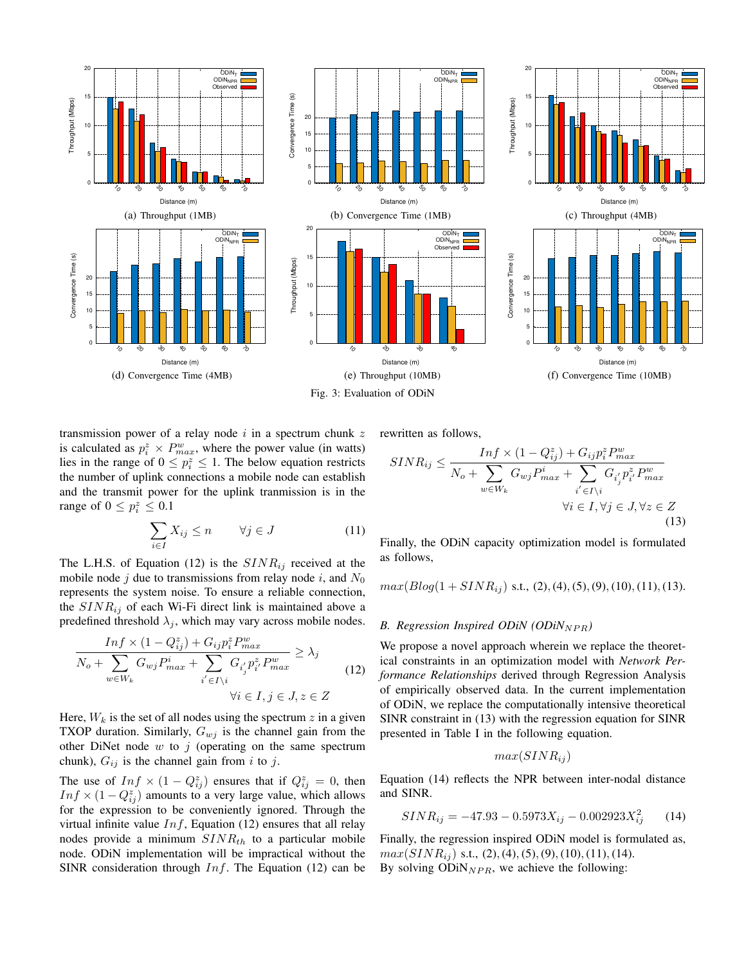

transmission power of a relay node  $i$  in a spectrum chunk  $z$ is calculated as  $p_i^z \times P_{max}^w$ , where the power value (in watts) lies in the range of  $0 \le p_i^z \le 1$ . The below equation restricts the number of uplink connections a mobile node can establish and the transmit power for the uplink tranmission is in the range of  $0 \leq p_i^z \leq 0.1$ 

$$
\sum_{i \in I} X_{ij} \le n \qquad \forall j \in J \tag{11}
$$

The L.H.S. of Equation (12) is the  $SINR_{ij}$  received at the mobile node j due to transmissions from relay node i, and  $N_0$ represents the system noise. To ensure a reliable connection, the  $SINR_{ij}$  of each Wi-Fi direct link is maintained above a predefined threshold  $\lambda_j$ , which may vary across mobile nodes.

$$
\frac{Inf \times (1 - Q_{ij}^z) + G_{ij} p_i^z P_{max}^w}{N_o + \sum_{w \in W_k} G_{wj} P_{max}^i + \sum_{i' \in I \setminus i} G_{i'_j} p_{i'}^z P_{max}^w} \ge \lambda_j
$$
\n
$$
\forall i \in I, j \in J, z \in Z
$$
\n(12)

Here,  $W_k$  is the set of all nodes using the spectrum z in a given TXOP duration. Similarly,  $G_{wj}$  is the channel gain from the other DiNet node  $w$  to  $j$  (operating on the same spectrum chunk),  $G_{ij}$  is the channel gain from i to j.

The use of  $Inf \times (1 - Q_{ij}^z)$  ensures that if  $Q_{ij}^z = 0$ , then  $Inf \times (1 - Q_{ij}^z)$  amounts to a very large value, which allows for the expression to be conveniently ignored. Through the virtual infinite value  $Inf$ , Equation (12) ensures that all relay nodes provide a minimum  $SINR_{th}$  to a particular mobile node. ODiN implementation will be impractical without the SINR consideration through  $Inf.$  The Equation (12) can be rewritten as follows,

$$
SINR_{ij} \le \frac{Inf \times (1 - Q_{ij}^{z}) + G_{ij}p_{i}^{z}P_{max}^{w}}{N_o + \sum_{w \in W_k} G_{wj}p_{max}^{i} + \sum_{i' \in I \setminus i} G_{i'_{j'}}p_{i'}^{z}P_{max}^{w}} + \forall i \in I, \forall j \in J, \forall z \in Z
$$
\n(13)

Finally, the ODiN capacity optimization model is formulated as follows,

$$
max(Blog(1+SINR_{ij})
$$
 s.t., (2), (4), (5), (9), (10), (11), (13).

#### *B. Regression Inspired ODiN (ODiN<sub>NPR</sub>)*

We propose a novel approach wherein we replace the theoretical constraints in an optimization model with *Network Performance Relationships* derived through Regression Analysis of empirically observed data. In the current implementation of ODiN, we replace the computationally intensive theoretical SINR constraint in (13) with the regression equation for SINR presented in Table I in the following equation.

$$
max(SINR_{ij})
$$

Equation (14) reflects the NPR between inter-nodal distance and SINR.

$$
SINR_{ij} = -47.93 - 0.5973X_{ij} - 0.002923X_{ij}^2 \tag{14}
$$

Finally, the regression inspired ODiN model is formulated as,  $max(SINR_{ij})$  s.t., (2), (4), (5), (9), (10), (11), (14). By solving  $ODiN_{NPR}$ , we achieve the following: